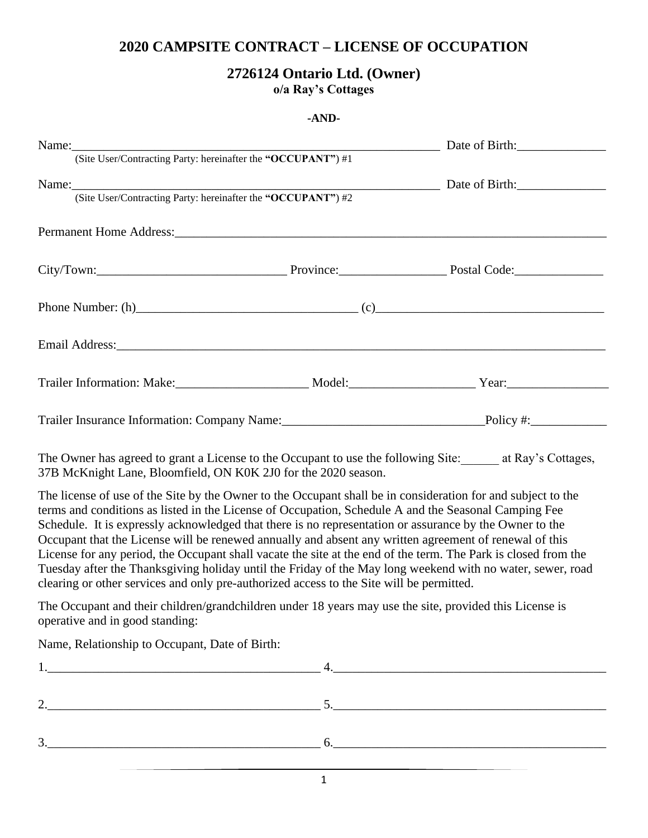## **2020 CAMPSITE CONTRACT – LICENSE OF OCCUPATION**

## **2726124 Ontario Ltd. (Owner) o/a Ray's Cottages**

## **-AND-**

| Name: (Site User/Contracting Party: hereinafter the "OCCUPANT") #1 Date of Birth:                                                                                                                                                                                                                                                                                                                                                                                                                                                                                                                                                                                                                                                                                     |  |
|-----------------------------------------------------------------------------------------------------------------------------------------------------------------------------------------------------------------------------------------------------------------------------------------------------------------------------------------------------------------------------------------------------------------------------------------------------------------------------------------------------------------------------------------------------------------------------------------------------------------------------------------------------------------------------------------------------------------------------------------------------------------------|--|
|                                                                                                                                                                                                                                                                                                                                                                                                                                                                                                                                                                                                                                                                                                                                                                       |  |
| Name: (Site User/Contracting Party: hereinafter the "OCCUPANT") #2 Date of Birth:                                                                                                                                                                                                                                                                                                                                                                                                                                                                                                                                                                                                                                                                                     |  |
|                                                                                                                                                                                                                                                                                                                                                                                                                                                                                                                                                                                                                                                                                                                                                                       |  |
|                                                                                                                                                                                                                                                                                                                                                                                                                                                                                                                                                                                                                                                                                                                                                                       |  |
| City/Town: Province: Province: Province: Postal Code:                                                                                                                                                                                                                                                                                                                                                                                                                                                                                                                                                                                                                                                                                                                 |  |
| Phone Number: (h) (c)                                                                                                                                                                                                                                                                                                                                                                                                                                                                                                                                                                                                                                                                                                                                                 |  |
|                                                                                                                                                                                                                                                                                                                                                                                                                                                                                                                                                                                                                                                                                                                                                                       |  |
| Trailer Information: Make: Make: Model: Model: Year: Year: Year:                                                                                                                                                                                                                                                                                                                                                                                                                                                                                                                                                                                                                                                                                                      |  |
|                                                                                                                                                                                                                                                                                                                                                                                                                                                                                                                                                                                                                                                                                                                                                                       |  |
| The Owner has agreed to grant a License to the Occupant to use the following Site: _____ at Ray's Cottages,<br>37B McKnight Lane, Bloomfield, ON K0K 2J0 for the 2020 season.                                                                                                                                                                                                                                                                                                                                                                                                                                                                                                                                                                                         |  |
| The license of use of the Site by the Owner to the Occupant shall be in consideration for and subject to the<br>terms and conditions as listed in the License of Occupation, Schedule A and the Seasonal Camping Fee<br>Schedule. It is expressly acknowledged that there is no representation or assurance by the Owner to the<br>Occupant that the License will be renewed annually and absent any written agreement of renewal of this<br>License for any period, the Occupant shall vacate the site at the end of the term. The Park is closed from the<br>Tuesday after the Thanksgiving holiday until the Friday of the May long weekend with no water, sewer, road<br>clearing or other services and only pre-authorized access to the Site will be permitted. |  |
| The Occupant and their children/grandchildren under 18 years may use the site, provided this License is<br>operative and in good standing:                                                                                                                                                                                                                                                                                                                                                                                                                                                                                                                                                                                                                            |  |
| Name, Relationship to Occupant, Date of Birth:                                                                                                                                                                                                                                                                                                                                                                                                                                                                                                                                                                                                                                                                                                                        |  |
|                                                                                                                                                                                                                                                                                                                                                                                                                                                                                                                                                                                                                                                                                                                                                                       |  |
|                                                                                                                                                                                                                                                                                                                                                                                                                                                                                                                                                                                                                                                                                                                                                                       |  |
| $3.$ 6.                                                                                                                                                                                                                                                                                                                                                                                                                                                                                                                                                                                                                                                                                                                                                               |  |

1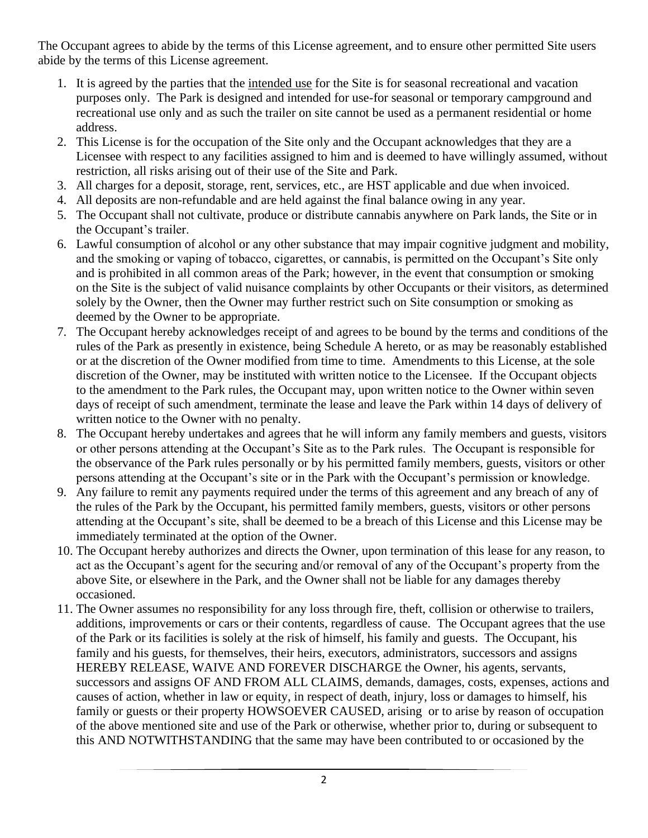The Occupant agrees to abide by the terms of this License agreement, and to ensure other permitted Site users abide by the terms of this License agreement.

- 1. It is agreed by the parties that the intended use for the Site is for seasonal recreational and vacation purposes only. The Park is designed and intended for use-for seasonal or temporary campground and recreational use only and as such the trailer on site cannot be used as a permanent residential or home address.
- 2. This License is for the occupation of the Site only and the Occupant acknowledges that they are a Licensee with respect to any facilities assigned to him and is deemed to have willingly assumed, without restriction, all risks arising out of their use of the Site and Park.
- 3. All charges for a deposit, storage, rent, services, etc., are HST applicable and due when invoiced.
- 4. All deposits are non-refundable and are held against the final balance owing in any year.
- 5. The Occupant shall not cultivate, produce or distribute cannabis anywhere on Park lands, the Site or in the Occupant's trailer.
- 6. Lawful consumption of alcohol or any other substance that may impair cognitive judgment and mobility, and the smoking or vaping of tobacco, cigarettes, or cannabis, is permitted on the Occupant's Site only and is prohibited in all common areas of the Park; however, in the event that consumption or smoking on the Site is the subject of valid nuisance complaints by other Occupants or their visitors, as determined solely by the Owner, then the Owner may further restrict such on Site consumption or smoking as deemed by the Owner to be appropriate.
- 7. The Occupant hereby acknowledges receipt of and agrees to be bound by the terms and conditions of the rules of the Park as presently in existence, being Schedule A hereto, or as may be reasonably established or at the discretion of the Owner modified from time to time. Amendments to this License, at the sole discretion of the Owner, may be instituted with written notice to the Licensee. If the Occupant objects to the amendment to the Park rules, the Occupant may, upon written notice to the Owner within seven days of receipt of such amendment, terminate the lease and leave the Park within 14 days of delivery of written notice to the Owner with no penalty.
- 8. The Occupant hereby undertakes and agrees that he will inform any family members and guests, visitors or other persons attending at the Occupant's Site as to the Park rules. The Occupant is responsible for the observance of the Park rules personally or by his permitted family members, guests, visitors or other persons attending at the Occupant's site or in the Park with the Occupant's permission or knowledge.
- 9. Any failure to remit any payments required under the terms of this agreement and any breach of any of the rules of the Park by the Occupant, his permitted family members, guests, visitors or other persons attending at the Occupant's site, shall be deemed to be a breach of this License and this License may be immediately terminated at the option of the Owner.
- 10. The Occupant hereby authorizes and directs the Owner, upon termination of this lease for any reason, to act as the Occupant's agent for the securing and/or removal of any of the Occupant's property from the above Site, or elsewhere in the Park, and the Owner shall not be liable for any damages thereby occasioned.
- 11. The Owner assumes no responsibility for any loss through fire, theft, collision or otherwise to trailers, additions, improvements or cars or their contents, regardless of cause. The Occupant agrees that the use of the Park or its facilities is solely at the risk of himself, his family and guests. The Occupant, his family and his guests, for themselves, their heirs, executors, administrators, successors and assigns HEREBY RELEASE, WAIVE AND FOREVER DISCHARGE the Owner, his agents, servants, successors and assigns OF AND FROM ALL CLAIMS, demands, damages, costs, expenses, actions and causes of action, whether in law or equity, in respect of death, injury, loss or damages to himself, his family or guests or their property HOWSOEVER CAUSED, arising or to arise by reason of occupation of the above mentioned site and use of the Park or otherwise, whether prior to, during or subsequent to this AND NOTWITHSTANDING that the same may have been contributed to or occasioned by the